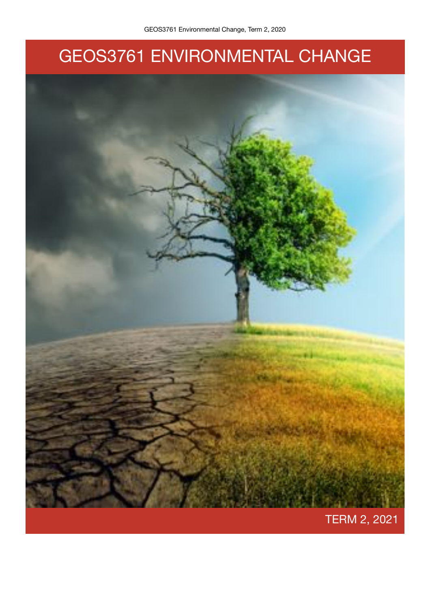# GEOS3761 ENVIRONMENTAL CHANGE

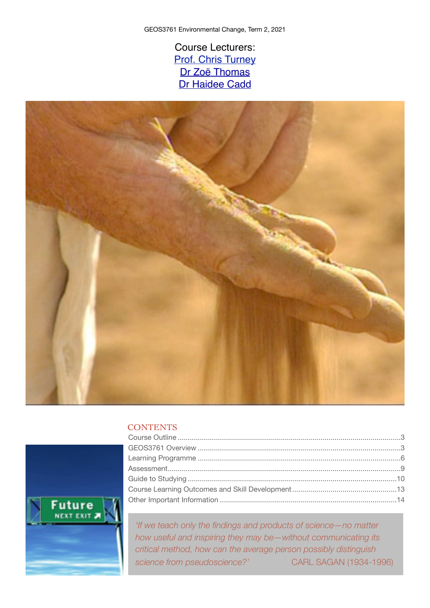Course Lecturers: [Prof. Chris Turney](http://www.christurney.com/) [Dr Zoë Thomas](http://www.bees.unsw.edu.au/zo%C3%AB-thomas) [Dr Haidee Cadd](https://research.unsw.edu.au/people/ms-haidee-cadd)



# **CONTENTS**



*'If we teach only the findings and products of science—no matter how useful and inspiring they may be—without communicating its critical method, how can the average person possibly distinguish science from pseudoscience?'*  CARL SAGAN (1934-1996)

2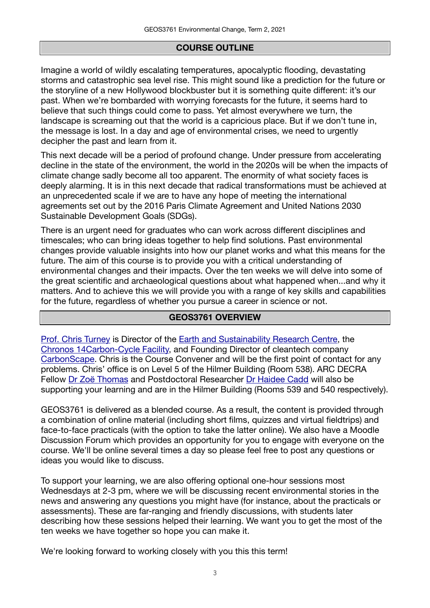## **COURSE OUTLINE**

Imagine a world of wildly escalating temperatures, apocalyptic flooding, devastating storms and catastrophic sea level rise. This might sound like a prediction for the future or the storyline of a new Hollywood blockbuster but it is something quite different: it's our past. When we're bombarded with worrying forecasts for the future, it seems hard to believe that such things could come to pass. Yet almost everywhere we turn, the landscape is screaming out that the world is a capricious place. But if we don't tune in, the message is lost. In a day and age of environmental crises, we need to urgently decipher the past and learn from it.

This next decade will be a period of profound change. Under pressure from accelerating decline in the state of the environment, the world in the 2020s will be when the impacts of climate change sadly become all too apparent. The enormity of what society faces is deeply alarming. It is in this next decade that radical transformations must be achieved at an unprecedented scale if we are to have any hope of meeting the international agreements set out by the 2016 Paris Climate Agreement and United Nations 2030 Sustainable Development Goals (SDGs).

There is an urgent need for graduates who can work across different disciplines and timescales; who can bring ideas together to help find solutions. Past environmental changes provide valuable insights into how our planet works and what this means for the future. The aim of this course is to provide you with a critical understanding of environmental changes and their impacts. Over the ten weeks we will delve into some of the great scientific and archaeological questions about what happened when...and why it matters. And to achieve this we will provide you with a range of key skills and capabilities for the future, regardless of whether you pursue a career in science or not.

## **GEOS3761 OVERVIEW**

[Prof. Chris Turney](http://www.christurney.com/) is Director of the [Earth and Sustainability Research Centre,](http://www.essrc.unsw.edu.au) the [Chronos 14Carbon-Cycle Facility,](http://www.14carboncycle.com) and Founding Director of cleantech company [CarbonScape.](https://www.carbonscape.com) Chris is the Course Convener and will be the first point of contact for any problems. Chris' office is on Level 5 of the Hilmer Building (Room 538). ARC DECRA Fellow [Dr Zoë Thomas](http://www.bees.unsw.edu.au/zo%C3%AB-thomas) and Postdoctoral Researcher [Dr Haidee Cadd](https://research.unsw.edu.au/people/ms-haidee-cadd) will also be supporting your learning and are in the Hilmer Building (Rooms 539 and 540 respectively).

GEOS3761 is delivered as a blended course. As a result, the content is provided through a combination of online material (including short films, quizzes and virtual fieldtrips) and face-to-face practicals (with the option to take the latter online). We also have a Moodle Discussion Forum which provides an opportunity for you to engage with everyone on the course. We'll be online several times a day so please feel free to post any questions or ideas you would like to discuss.

To support your learning, we are also offering optional one-hour sessions most Wednesdays at 2-3 pm, where we will be discussing recent environmental stories in the news and answering any questions you might have (for instance, about the practicals or assessments). These are far-ranging and friendly discussions, with students later describing how these sessions helped their learning. We want you to get the most of the ten weeks we have together so hope you can make it.

We're looking forward to working closely with you this this term!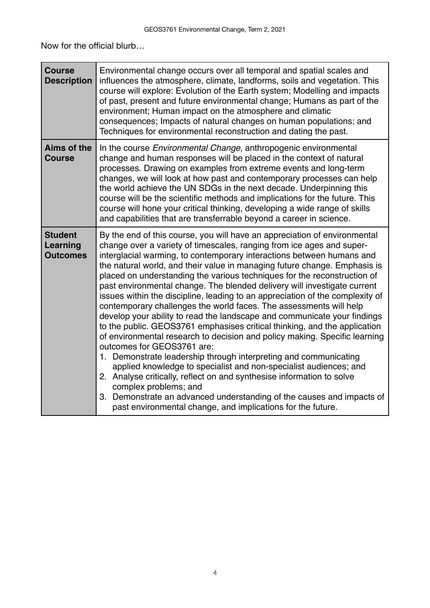Now for the official blurb…

| <b>Course</b><br><b>Description</b>           | Environmental change occurs over all temporal and spatial scales and<br>influences the atmosphere, climate, landforms, soils and vegetation. This<br>course will explore: Evolution of the Earth system; Modelling and impacts<br>of past, present and future environmental change; Humans as part of the<br>environment; Human impact on the atmosphere and climatic<br>consequences; Impacts of natural changes on human populations; and<br>Techniques for environmental reconstruction and dating the past.                                                                                                                                                                                                                                                                                                                                                                                                                                                                                                                                                                                                                                                                                                                                                                 |
|-----------------------------------------------|---------------------------------------------------------------------------------------------------------------------------------------------------------------------------------------------------------------------------------------------------------------------------------------------------------------------------------------------------------------------------------------------------------------------------------------------------------------------------------------------------------------------------------------------------------------------------------------------------------------------------------------------------------------------------------------------------------------------------------------------------------------------------------------------------------------------------------------------------------------------------------------------------------------------------------------------------------------------------------------------------------------------------------------------------------------------------------------------------------------------------------------------------------------------------------------------------------------------------------------------------------------------------------|
| Aims of the<br><b>Course</b>                  | In the course Environmental Change, anthropogenic environmental<br>change and human responses will be placed in the context of natural<br>processes. Drawing on examples from extreme events and long-term<br>changes, we will look at how past and contemporary processes can help<br>the world achieve the UN SDGs in the next decade. Underpinning this<br>course will be the scientific methods and implications for the future. This<br>course will hone your critical thinking, developing a wide range of skills<br>and capabilities that are transferrable beyond a career in science.                                                                                                                                                                                                                                                                                                                                                                                                                                                                                                                                                                                                                                                                                  |
| <b>Student</b><br>Learning<br><b>Outcomes</b> | By the end of this course, you will have an appreciation of environmental<br>change over a variety of timescales, ranging from ice ages and super-<br>interglacial warming, to contemporary interactions between humans and<br>the natural world, and their value in managing future change. Emphasis is<br>placed on understanding the various techniques for the reconstruction of<br>past environmental change. The blended delivery will investigate current<br>issues within the discipline, leading to an appreciation of the complexity of<br>contemporary challenges the world faces. The assessments will help<br>develop your ability to read the landscape and communicate your findings<br>to the public. GEOS3761 emphasises critical thinking, and the application<br>of environmental research to decision and policy making. Specific learning<br>outcomes for GEOS3761 are:<br>1. Demonstrate leadership through interpreting and communicating<br>applied knowledge to specialist and non-specialist audiences; and<br>2. Analyse critically, reflect on and synthesise information to solve<br>complex problems; and<br>3. Demonstrate an advanced understanding of the causes and impacts of<br>past environmental change, and implications for the future. |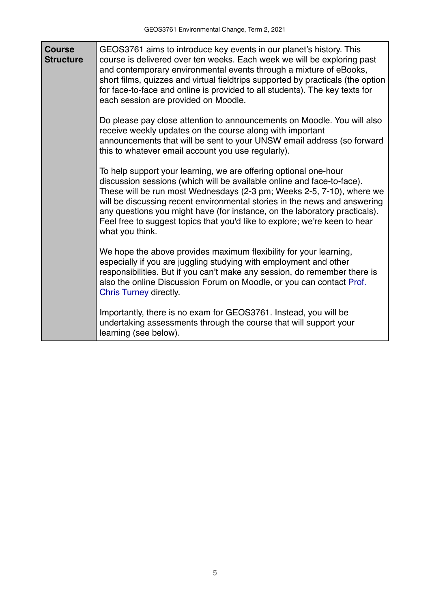| <b>Course</b><br><b>Structure</b> | GEOS3761 aims to introduce key events in our planet's history. This<br>course is delivered over ten weeks. Each week we will be exploring past<br>and contemporary environmental events through a mixture of eBooks,<br>short films, quizzes and virtual fieldtrips supported by practicals (the option<br>for face-to-face and online is provided to all students). The key texts for<br>each session are provided on Moodle.                                                  |
|-----------------------------------|---------------------------------------------------------------------------------------------------------------------------------------------------------------------------------------------------------------------------------------------------------------------------------------------------------------------------------------------------------------------------------------------------------------------------------------------------------------------------------|
|                                   | Do please pay close attention to announcements on Moodle. You will also<br>receive weekly updates on the course along with important<br>announcements that will be sent to your UNSW email address (so forward<br>this to whatever email account you use regularly).                                                                                                                                                                                                            |
|                                   | To help support your learning, we are offering optional one-hour<br>discussion sessions (which will be available online and face-to-face).<br>These will be run most Wednesdays (2-3 pm; Weeks 2-5, 7-10), where we<br>will be discussing recent environmental stories in the news and answering<br>any questions you might have (for instance, on the laboratory practicals).<br>Feel free to suggest topics that you'd like to explore; we're keen to hear<br>what you think. |
|                                   | We hope the above provides maximum flexibility for your learning,<br>especially if you are juggling studying with employment and other<br>responsibilities. But if you can't make any session, do remember there is<br>also the online Discussion Forum on Moodle, or you can contact Prof.<br><b>Chris Turney directly.</b>                                                                                                                                                    |
|                                   | Importantly, there is no exam for GEOS3761. Instead, you will be<br>undertaking assessments through the course that will support your<br>learning (see below).                                                                                                                                                                                                                                                                                                                  |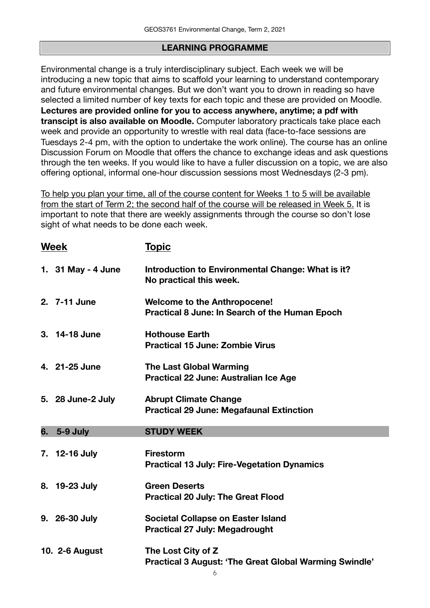## **LEARNING PROGRAMME**

Environmental change is a truly interdisciplinary subject. Each week we will be introducing a new topic that aims to scaffold your learning to understand contemporary and future environmental changes. But we don't want you to drown in reading so have selected a limited number of key texts for each topic and these are provided on Moodle. **Lectures are provided online for you to access anywhere, anytime; a pdf with transcipt is also available on Moodle.** Computer laboratory practicals take place each week and provide an opportunity to wrestle with real data (face-to-face sessions are Tuesdays 2-4 pm, with the option to undertake the work online). The course has an online Discussion Forum on Moodle that offers the chance to exchange ideas and ask questions through the ten weeks. If you would like to have a fuller discussion on a topic, we are also offering optional, informal one-hour discussion sessions most Wednesdays (2-3 pm).

To help you plan your time, all of the course content for Weeks 1 to 5 will be available from the start of Term 2; the second half of the course will be released in Week 5. It is important to note that there are weekly assignments through the course so don't lose sight of what needs to be done each week.

|    | <b>Week</b>        | <u>Topic</u>                                                                                 |
|----|--------------------|----------------------------------------------------------------------------------------------|
|    | 1. 31 May - 4 June | Introduction to Environmental Change: What is it?<br>No practical this week.                 |
|    | 2. 7-11 June       | <b>Welcome to the Anthropocene!</b><br><b>Practical 8 June: In Search of the Human Epoch</b> |
|    | 3. 14-18 June      | <b>Hothouse Earth</b><br><b>Practical 15 June: Zombie Virus</b>                              |
|    | 4. 21-25 June      | <b>The Last Global Warming</b><br>Practical 22 June: Australian Ice Age                      |
|    | 5. 28 June-2 July  | <b>Abrupt Climate Change</b><br><b>Practical 29 June: Megafaunal Extinction</b>              |
|    |                    |                                                                                              |
| 6. | 5-9 July           | <b>STUDY WEEK</b>                                                                            |
|    | 7. 12-16 July      | <b>Firestorm</b><br><b>Practical 13 July: Fire-Vegetation Dynamics</b>                       |
|    | 8. 19-23 July      | <b>Green Deserts</b><br><b>Practical 20 July: The Great Flood</b>                            |
|    | 9. 26-30 July      | Societal Collapse on Easter Island<br><b>Practical 27 July: Megadrought</b>                  |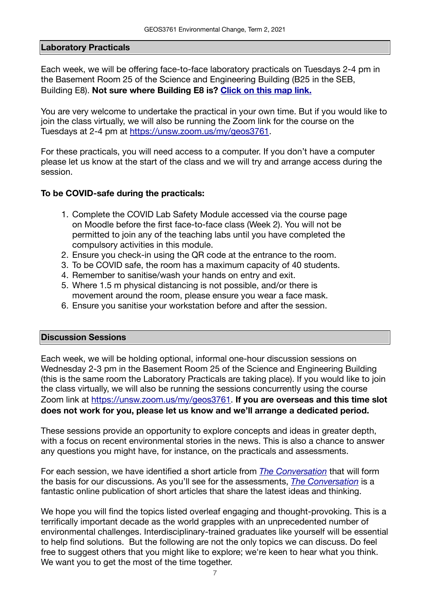#### **Laboratory Practicals**

Each week, we will be offering face-to-face laboratory practicals on Tuesdays 2-4 pm in the Basement Room 25 of the Science and Engineering Building (B25 in the SEB, Building E8). **Not sure where Building E8 is? [Click on this map link.](https://gis.unsw.edu.au/portal/apps/webappviewer/index.html?id=16af84163fd94cda9054f224993adb21)** 

You are very welcome to undertake the practical in your own time. But if you would like to join the class virtually, we will also be running the Zoom link for the course on the Tuesdays at 2-4 pm at <https://unsw.zoom.us/my/geos3761>.

For these practicals, you will need access to a computer. If you don't have a computer please let us know at the start of the class and we will try and arrange access during the session.

#### **To be COVID-safe during the practicals:**

- 1. Complete the COVID Lab Safety Module accessed via the course page on Moodle before the first face-to-face class (Week 2). You will not be permitted to join any of the teaching labs until you have completed the compulsory activities in this module.
- 2. Ensure you check-in using the QR code at the entrance to the room.
- 3. To be COVID safe, the room has a maximum capacity of 40 students.
- 4. Remember to sanitise/wash your hands on entry and exit.
- 5. Where 1.5 m physical distancing is not possible, and/or there is movement around the room, please ensure you wear a face mask.
- 6. Ensure you sanitise your workstation before and after the session.

#### **Discussion Sessions**

Each week, we will be holding optional, informal one-hour discussion sessions on Wednesday 2-3 pm in the Basement Room 25 of the Science and Engineering Building (this is the same room the Laboratory Practicals are taking place). If you would like to join the class virtually, we will also be running the sessions concurrently using the course Zoom link at<https://unsw.zoom.us/my/geos3761>. **If you are overseas and this time slot does not work for you, please let us know and we'll arrange a dedicated period.**

These sessions provide an opportunity to explore concepts and ideas in greater depth, with a focus on recent environmental stories in the news. This is also a chance to answer any questions you might have, for instance, on the practicals and assessments.

For each session, we have identified a short article from *[The Conversation](https://theconversation.com/au)* that will form the basis for our discussions. As you'll see for the assessments, *[The Conversation](https://theconversation.com/au)* is a fantastic online publication of short articles that share the latest ideas and thinking.

We hope you will find the topics listed overleaf engaging and thought-provoking. This is a terrifically important decade as the world grapples with an unprecedented number of environmental challenges. Interdisciplinary-trained graduates like yourself will be essential to help find solutions. But the following are not the only topics we can discuss. Do feel free to suggest others that you might like to explore; we're keen to hear what you think. We want you to get the most of the time together.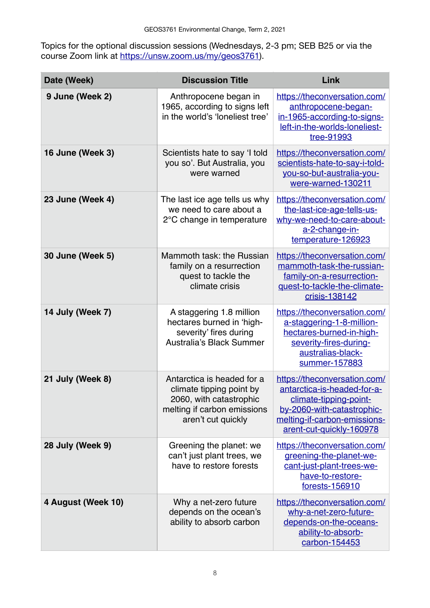Topics for the optional discussion sessions (Wednesdays, 2-3 pm; SEB B25 or via the course Zoom link at <u>https://unsw.zoom.us/my/geos3761</u>).

| Date (Week)        | <b>Discussion Title</b>                                                                                                                | Link                                                                                                                                                                            |
|--------------------|----------------------------------------------------------------------------------------------------------------------------------------|---------------------------------------------------------------------------------------------------------------------------------------------------------------------------------|
| 9 June (Week 2)    | Anthropocene began in<br>1965, according to signs left<br>in the world's 'loneliest tree'                                              | https://theconversation.com/<br>anthropocene-began-<br>in-1965-according-to-signs-<br>left-in-the-worlds-loneliest-<br>tree-91993                                               |
| 16 June (Week 3)   | Scientists hate to say 'I told<br>you so'. But Australia, you<br>were warned                                                           | https://theconversation.com/<br>scientists-hate-to-say-i-told-<br>you-so-but-australia-you-<br>were-warned-130211                                                               |
| 23 June (Week 4)   | The last ice age tells us why<br>we need to care about a<br>2°C change in temperature                                                  | https://theconversation.com/<br>the-last-ice-age-tells-us-<br>why-we-need-to-care-about-<br>a-2-change-in-<br>temperature-126923                                                |
| 30 June (Week 5)   | Mammoth task: the Russian<br>family on a resurrection<br>quest to tackle the<br>climate crisis                                         | https://theconversation.com/<br>mammoth-task-the-russian-<br>family-on-a-resurrection-<br>quest-to-tackle-the-climate-<br>crisis-138142                                         |
| 14 July (Week 7)   | A staggering 1.8 million<br>hectares burned in 'high-<br>severity' fires during<br><b>Australia's Black Summer</b>                     | https://theconversation.com/<br>a-staggering-1-8-million-<br>hectares-burned-in-high-<br>severity-fires-during-<br>australias-black-<br>summer-157883                           |
| 21 July (Week 8)   | Antarctica is headed for a<br>climate tipping point by<br>2060, with catastrophic<br>melting if carbon emissions<br>aren't cut quickly | https://theconversation.com/<br>antarctica-is-headed-for-a-<br>climate-tipping-point-<br>by-2060-with-catastrophic-<br>melting-if-carbon-emissions-<br>arent-cut-quickly-160978 |
| 28 July (Week 9)   | Greening the planet: we<br>can't just plant trees, we<br>have to restore forests                                                       | https://theconversation.com/<br>greening-the-planet-we-<br>cant-just-plant-trees-we-<br>have-to-restore-<br>forests-156910                                                      |
| 4 August (Week 10) | Why a net-zero future<br>depends on the ocean's<br>ability to absorb carbon                                                            | https://theconversation.com/<br>why-a-net-zero-future-<br>depends-on-the-oceans-<br>ability-to-absorb-<br>carbon-154453                                                         |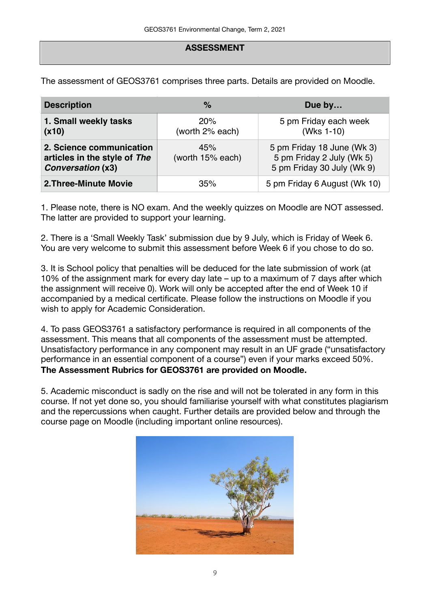## **ASSESSMENT**

The assessment of GEOS3761 comprises three parts. Details are provided on Moodle.

| <b>Description</b>                                                                   | $\%$                    | Due by                                                                                |
|--------------------------------------------------------------------------------------|-------------------------|---------------------------------------------------------------------------------------|
| 1. Small weekly tasks<br>(x10)                                                       | 20%<br>(worth 2% each)  | 5 pm Friday each week<br>(Wks 1-10)                                                   |
| 2. Science communication<br>articles in the style of The<br><b>Conversation (x3)</b> | 45%<br>(worth 15% each) | 5 pm Friday 18 June (Wk 3)<br>5 pm Friday 2 July (Wk 5)<br>5 pm Friday 30 July (Wk 9) |
| 2. Three-Minute Movie                                                                | 35%                     | 5 pm Friday 6 August (Wk 10)                                                          |

1. Please note, there is NO exam. And the weekly quizzes on Moodle are NOT assessed. The latter are provided to support your learning.

2. There is a 'Small Weekly Task' submission due by 9 July, which is Friday of Week 6. You are very welcome to submit this assessment before Week 6 if you chose to do so.

3. It is School policy that penalties will be deduced for the late submission of work (at 10% of the assignment mark for every day late – up to a maximum of 7 days after which the assignment will receive 0). Work will only be accepted after the end of Week 10 if accompanied by a medical certificate. Please follow the instructions on Moodle if you wish to apply for Academic Consideration.

4. To pass GEOS3761 a satisfactory performance is required in all components of the assessment. This means that all components of the assessment must be attempted. Unsatisfactory performance in any component may result in an UF grade ("unsatisfactory performance in an essential component of a course") even if your marks exceed 50%. **The Assessment Rubrics for GEOS3761 are provided on Moodle.** 

5. Academic misconduct is sadly on the rise and will not be tolerated in any form in this course. If not yet done so, you should familiarise yourself with what constitutes plagiarism and the repercussions when caught. Further details are provided below and through the course page on Moodle (including important online resources).

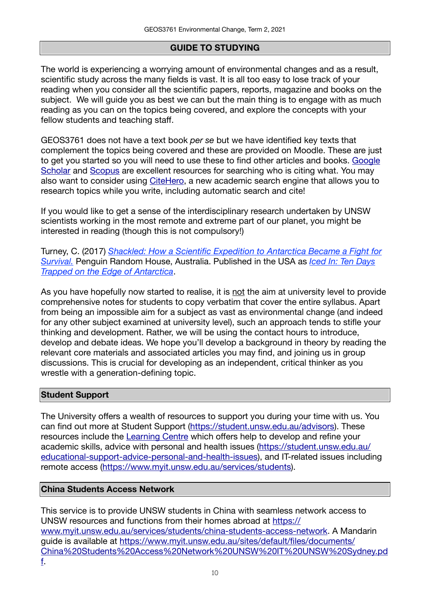# **GUIDE TO STUDYING**

The world is experiencing a worrying amount of environmental changes and as a result, scientific study across the many fields is vast. It is all too easy to lose track of your reading when you consider all the scientific papers, reports, magazine and books on the subject. We will guide you as best we can but the main thing is to engage with as much reading as you can on the topics being covered, and explore the concepts with your fellow students and teaching staff.

GEOS3761 does not have a text book *per se* but we have identified key texts that complement the topics being covered and these are provided on Moodle. These are just to get you started so you will need to use these to find other articles and books. [Google](https://scholar.google.com.au)  [Scholar](https://scholar.google.com.au) and [Scopus](https://primoa.library.unsw.edu.au/primo-explore/fulldisplay?vid=UNSWS&docid=UNSW_ALMA61158970170001731&context=L&search_scope=SearchFirst) are excellent resources for searching who is citing what. You may also want to consider using [CiteHero](https://citehero.com), a new academic search engine that allows you to research topics while you write, including automatic search and cite!

If you would like to get a sense of the interdisciplinary research undertaken by UNSW scientists working in the most remote and extreme part of our planet, you might be interested in reading (though this is not compulsory!)

Turney, C. (2017) *[Shackled: How a Scientific Expedition to Antarctica Became a Fight for](https://www.penguin.com.au/books/shackled-9780670079117)  [Survival.](https://www.penguin.com.au/books/shackled-9780670079117)* Penguin Random House, Australia. Published in the USA as *[Iced In: Ten Days](http://www.kensingtonbooks.com/book.aspx/35466)  [Trapped on the Edge of Antarctica](http://www.kensingtonbooks.com/book.aspx/35466)*.

As you have hopefully now started to realise, it is not the aim at university level to provide comprehensive notes for students to copy verbatim that cover the entire syllabus. Apart from being an impossible aim for a subject as vast as environmental change (and indeed for any other subject examined at university level), such an approach tends to stifle your thinking and development. Rather, we will be using the contact hours to introduce, develop and debate ideas. We hope you'll develop a background in theory by reading the relevant core materials and associated articles you may find, and joining us in group discussions. This is crucial for developing as an independent, critical thinker as you wrestle with a generation-defining topic.

# **Student Support**

The University offers a wealth of resources to support you during your time with us. You can find out more at Student Support [\(https://student.unsw.edu.au/advisors\)](https://student.unsw.edu.au/advisors). These resources include the [Learning Centre](https://student.unsw.edu.au/skills) which offers help to develop and refine your academic skills, advice with personal and health issues ([https://student.unsw.edu.au/](https://student.unsw.edu.au/educational-support-advice-personal-and-health-issues) [educational-support-advice-personal-and-health-issues\)](https://student.unsw.edu.au/educational-support-advice-personal-and-health-issues), and IT-related issues including remote access ([https://www.myit.unsw.edu.au/services/students\)](https://www.myit.unsw.edu.au/services/students).

# **China Students Access Network**

This service is to provide UNSW students in China with seamless network access to UNSW resources and functions from their homes abroad at [https://](https://www.myit.unsw.edu.au/services/students/china-students-access-network) [www.myit.unsw.edu.au/services/students/china-students-access-network](https://www.myit.unsw.edu.au/services/students/china-students-access-network). A Mandarin guide is available at [https://www.myit.unsw.edu.au/sites/default/files/documents/](https://www.myit.unsw.edu.au/sites/default/files/documents/China%20Students%20Access%20Network%20UNSW%20IT%20UNSW%20Sydney.pdf) [China%20Students%20Access%20Network%20UNSW%20IT%20UNSW%20Sydney.pd](https://www.myit.unsw.edu.au/sites/default/files/documents/China%20Students%20Access%20Network%20UNSW%20IT%20UNSW%20Sydney.pdf) [f](https://www.myit.unsw.edu.au/sites/default/files/documents/China%20Students%20Access%20Network%20UNSW%20IT%20UNSW%20Sydney.pdf).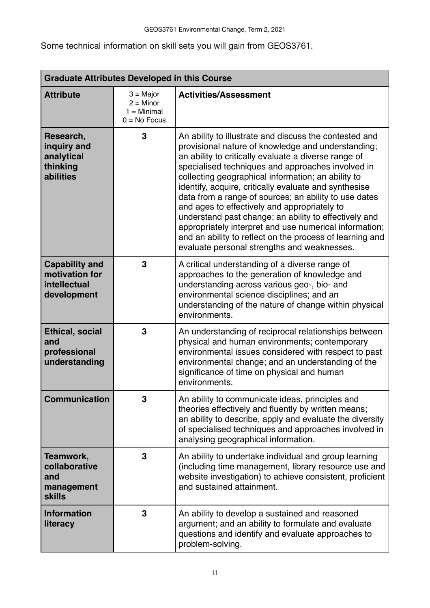Some technical information on skill sets you will gain from GEOS3761.

| <b>Graduate Attributes Developed in this Course</b>                    |                                                               |                                                                                                                                                                                                                                                                                                                                                                                                                                                                                                                                                                                                                                                                                 |  |
|------------------------------------------------------------------------|---------------------------------------------------------------|---------------------------------------------------------------------------------------------------------------------------------------------------------------------------------------------------------------------------------------------------------------------------------------------------------------------------------------------------------------------------------------------------------------------------------------------------------------------------------------------------------------------------------------------------------------------------------------------------------------------------------------------------------------------------------|--|
| <b>Attribute</b>                                                       | $3 =$ Major<br>$2 =$ Minor<br>$1 =$ Minimal<br>$0 = No$ Focus | <b>Activities/Assessment</b>                                                                                                                                                                                                                                                                                                                                                                                                                                                                                                                                                                                                                                                    |  |
| Research,<br>inquiry and<br>analytical<br>thinking<br>abilities        | 3                                                             | An ability to illustrate and discuss the contested and<br>provisional nature of knowledge and understanding;<br>an ability to critically evaluate a diverse range of<br>specialised techniques and approaches involved in<br>collecting geographical information; an ability to<br>identify, acquire, critically evaluate and synthesise<br>data from a range of sources; an ability to use dates<br>and ages to effectively and appropriately to<br>understand past change; an ability to effectively and<br>appropriately interpret and use numerical information;<br>and an ability to reflect on the process of learning and<br>evaluate personal strengths and weaknesses. |  |
| <b>Capability and</b><br>motivation for<br>intellectual<br>development | 3                                                             | A critical understanding of a diverse range of<br>approaches to the generation of knowledge and<br>understanding across various geo-, bio- and<br>environmental science disciplines; and an<br>understanding of the nature of change within physical<br>environments.                                                                                                                                                                                                                                                                                                                                                                                                           |  |
| <b>Ethical, social</b><br>and<br>professional<br>understanding         | 3                                                             | An understanding of reciprocal relationships between<br>physical and human environments; contemporary<br>environmental issues considered with respect to past<br>environmental change; and an understanding of the<br>significance of time on physical and human<br>environments.                                                                                                                                                                                                                                                                                                                                                                                               |  |
| <b>Communication</b>                                                   | 3                                                             | An ability to communicate ideas, principles and<br>theories effectively and fluently by written means;<br>an ability to describe, apply and evaluate the diversity<br>of specialised techniques and approaches involved in<br>analysing geographical information.                                                                                                                                                                                                                                                                                                                                                                                                               |  |
| Teamwork,<br>collaborative<br>and<br>management<br><b>skills</b>       | 3                                                             | An ability to undertake individual and group learning<br>(including time management, library resource use and<br>website investigation) to achieve consistent, proficient<br>and sustained attainment.                                                                                                                                                                                                                                                                                                                                                                                                                                                                          |  |
| <b>Information</b><br>literacy                                         | 3                                                             | An ability to develop a sustained and reasoned<br>argument; and an ability to formulate and evaluate<br>questions and identify and evaluate approaches to<br>problem-solving.                                                                                                                                                                                                                                                                                                                                                                                                                                                                                                   |  |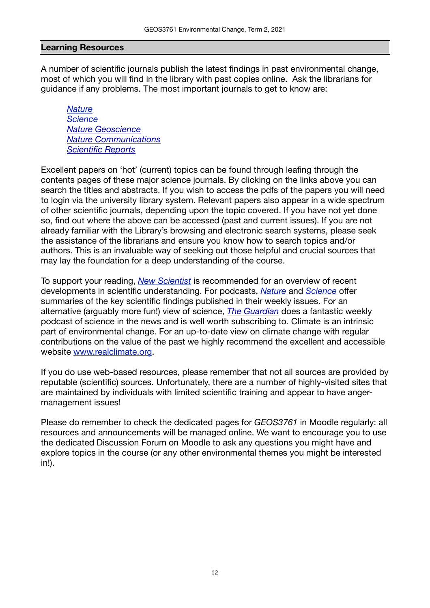#### **Learning Resources**

A number of scientific journals publish the latest findings in past environmental change, most of which you will find in the library with past copies online. Ask the librarians for guidance if any problems. The most important journals to get to know are:

*[Nature](http://www.nature.com) [Science](http://www.sciencemag.org) [Nature Geoscience](http://www.nature.com/ngeo/) [Nature Communications](http://www.nature.com/ncomms/) [Scientific Reports](http://www.nature.com/srep/)*

Excellent papers on 'hot' (current) topics can be found through leafing through the contents pages of these major science journals. By clicking on the links above you can search the titles and abstracts. If you wish to access the pdfs of the papers you will need to login via the university library system. Relevant papers also appear in a wide spectrum of other scientific journals, depending upon the topic covered. If you have not yet done so, find out where the above can be accessed (past and current issues). If you are not already familiar with the Library's browsing and electronic search systems, please seek the assistance of the librarians and ensure you know how to search topics and/or authors. This is an invaluable way of seeking out those helpful and crucial sources that may lay the foundation for a deep understanding of the course.

To support your reading, *[New Scientist](https://www.newscientist.com)* is recommended for an overview of recent developments in scientific understanding. For podcasts, *[Nature](http://www.nature.com/nature/podcast/)* and *[Science](http://www.sciencemag.org/podcasts)* offer summaries of the key scientific findings published in their weekly issues. For an alternative (arguably more fun!) view of science, *[The Guardian](https://www.theguardian.com/science/series/science)* does a fantastic weekly podcast of science in the news and is well worth subscribing to. Climate is an intrinsic part of environmental change. For an up-to-date view on climate change with regular contributions on the value of the past we highly recommend the excellent and accessible website [www.realclimate.org](http://www.realclimate.org).

If you do use web-based resources, please remember that not all sources are provided by reputable (scientific) sources. Unfortunately, there are a number of highly-visited sites that are maintained by individuals with limited scientific training and appear to have angermanagement issues!

Please do remember to check the dedicated pages for *GEOS3761* in Moodle regularly: all resources and announcements will be managed online. We want to encourage you to use the dedicated Discussion Forum on Moodle to ask any questions you might have and explore topics in the course (or any other environmental themes you might be interested in!).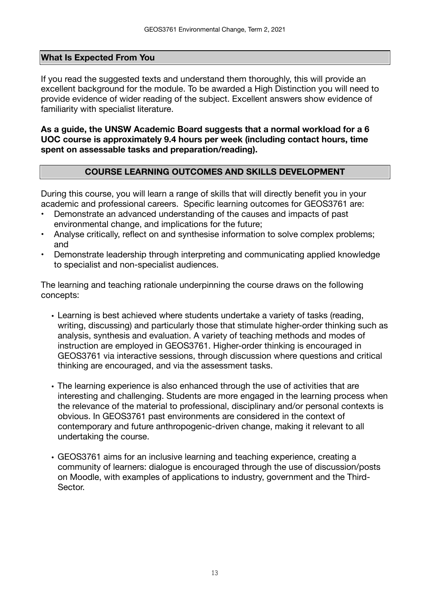## **What Is Expected From You**

If you read the suggested texts and understand them thoroughly, this will provide an excellent background for the module. To be awarded a High Distinction you will need to provide evidence of wider reading of the subject. Excellent answers show evidence of familiarity with specialist literature.

**As a guide, the UNSW Academic Board suggests that a normal workload for a 6 UOC course is approximately 9.4 hours per week (including contact hours, time spent on assessable tasks and preparation/reading).** 

## **COURSE LEARNING OUTCOMES AND SKILLS DEVELOPMENT**

During this course, you will learn a range of skills that will directly benefit you in your academic and professional careers. Specific learning outcomes for GEOS3761 are:

- Demonstrate an advanced understanding of the causes and impacts of past environmental change, and implications for the future;
- Analyse critically, reflect on and synthesise information to solve complex problems; and
- Demonstrate leadership through interpreting and communicating applied knowledge to specialist and non-specialist audiences.

The learning and teaching rationale underpinning the course draws on the following concepts:

- Learning is best achieved where students undertake a variety of tasks (reading, writing, discussing) and particularly those that stimulate higher-order thinking such as analysis, synthesis and evaluation. A variety of teaching methods and modes of instruction are employed in GEOS3761. Higher-order thinking is encouraged in GEOS3761 via interactive sessions, through discussion where questions and critical thinking are encouraged, and via the assessment tasks.
- The learning experience is also enhanced through the use of activities that are interesting and challenging. Students are more engaged in the learning process when the relevance of the material to professional, disciplinary and/or personal contexts is obvious. In GEOS3761 past environments are considered in the context of contemporary and future anthropogenic-driven change, making it relevant to all undertaking the course.
- GEOS3761 aims for an inclusive learning and teaching experience, creating a community of learners: dialogue is encouraged through the use of discussion/posts on Moodle, with examples of applications to industry, government and the Third-Sector.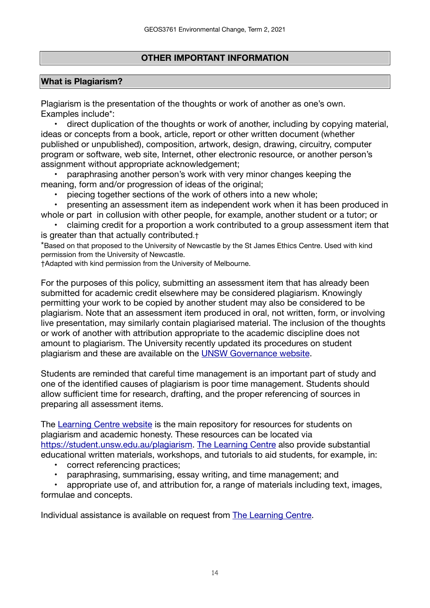# **OTHER IMPORTANT INFORMATION**

# **What is Plagiarism?**

Plagiarism is the presentation of the thoughts or work of another as one's own. Examples include\*:

 • direct duplication of the thoughts or work of another, including by copying material, ideas or concepts from a book, article, report or other written document (whether published or unpublished), composition, artwork, design, drawing, circuitry, computer program or software, web site, Internet, other electronic resource, or another person's assignment without appropriate acknowledgement;

paraphrasing another person's work with very minor changes keeping the meaning, form and/or progression of ideas of the original;

piecing together sections of the work of others into a new whole;

 • presenting an assessment item as independent work when it has been produced in whole or part in collusion with other people, for example, another student or a tutor; or

claiming credit for a proportion a work contributed to a group assessment item that is greater than that actually contributed.†

\*Based on that proposed to the University of Newcastle by the St James Ethics Centre. Used with kind permission from the University of Newcastle.

†Adapted with kind permission from the University of Melbourne.

For the purposes of this policy, submitting an assessment item that has already been submitted for academic credit elsewhere may be considered plagiarism. Knowingly permitting your work to be copied by another student may also be considered to be plagiarism. Note that an assessment item produced in oral, not written, form, or involving live presentation, may similarly contain plagiarised material. The inclusion of the thoughts or work of another with attribution appropriate to the academic discipline does not amount to plagiarism. The University recently updated its procedures on student plagiarism and these are available on the [UNSW Governance website](https://www.gs.unsw.edu.au/policy/documents/plagiarismprocedure.pdf).

Students are reminded that careful time management is an important part of study and one of the identified causes of plagiarism is poor time management. Students should allow sufficient time for research, drafting, and the proper referencing of sources in preparing all assessment items.

The [Learning Centre website](https://student.unsw.edu.au/skills) is the main repository for resources for students on plagiarism and academic honesty. These resources can be located via <https://student.unsw.edu.au/plagiarism>. [The Learning Centre](https://student.unsw.edu.au/skills) also provide substantial educational written materials, workshops, and tutorials to aid students, for example, in:

- correct referencing practices;
- paraphrasing, summarising, essay writing, and time management; and

appropriate use of, and attribution for, a range of materials including text, images, formulae and concepts.

Individual assistance is available on request from [The Learning Centre.](https://student.unsw.edu.au/skills)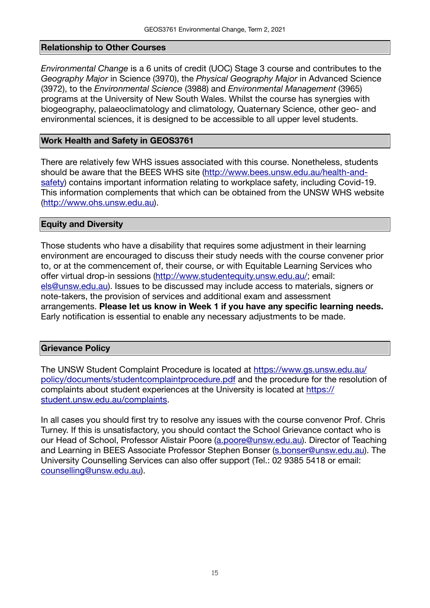#### **Relationship to Other Courses**

*Environmental Change* is a 6 units of credit (UOC) Stage 3 course and contributes to the *Geography Major* in Science (3970), the *Physical Geography Major* in Advanced Science (3972), to the *Environmental Science* (3988) and *Environmental Management* (3965) programs at the University of New South Wales. Whilst the course has synergies with biogeography, palaeoclimatology and climatology, Quaternary Science, other geo- and environmental sciences, it is designed to be accessible to all upper level students.

#### **Work Health and Safety in GEOS3761**

There are relatively few WHS issues associated with this course. Nonetheless, students should be aware that the BEES WHS site ([http://www.bees.unsw.edu.au/health-and](http://www.bees.unsw.edu.au/health-and-safety)[safety\)](http://www.bees.unsw.edu.au/health-and-safety) contains important information relating to workplace safety, including Covid-19. This information complements that which can be obtained from the UNSW WHS website (<http://www.ohs.unsw.edu.au>).

#### **Equity and Diversity**

Those students who have a disability that requires some adjustment in their learning environment are encouraged to discuss their study needs with the course convener prior to, or at the commencement of, their course, or with Equitable Learning Services who offer virtual drop-in sessions [\(http://www.studentequity.unsw.edu.au/](http://www.studentequity.unsw.edu.au/); email: [els@unsw.edu.au](mailto:els@unsw.edu.au)). Issues to be discussed may include access to materials, signers or note-takers, the provision of services and additional exam and assessment arrangements. **Please let us know in Week 1 if you have any specific learning needs.** Early notification is essential to enable any necessary adjustments to be made.

#### **Grievance Policy**

The UNSW Student Complaint Procedure is located at [https://www.gs.unsw.edu.au/](https://www.gs.unsw.edu.au/policy/documents/studentcomplaintprocedure.pdf) [policy/documents/studentcomplaintprocedure.pdf](https://www.gs.unsw.edu.au/policy/documents/studentcomplaintprocedure.pdf) and the procedure for the resolution of complaints about student experiences at the University is located at [https://](https://student.unsw.edu.au/complaints) [student.unsw.edu.au/complaints](https://student.unsw.edu.au/complaints).

In all cases you should first try to resolve any issues with the course convenor Prof. Chris Turney. If this is unsatisfactory, you should contact the School Grievance contact who is our Head of School, Professor Alistair Poore ([a.poore@unsw.edu.au\)](mailto:a.poore@unsw.edu.au). Director of Teaching and Learning in BEES Associate Professor Stephen Bonser [\(s.bonser@unsw.edu.au](mailto:s.bonser@unsw.edu.au)). The University Counselling Services can also offer support (Tel.: 02 9385 5418 or email: [counselling@unsw.edu.au\)](mailto:counselling@unsw.edu.au).